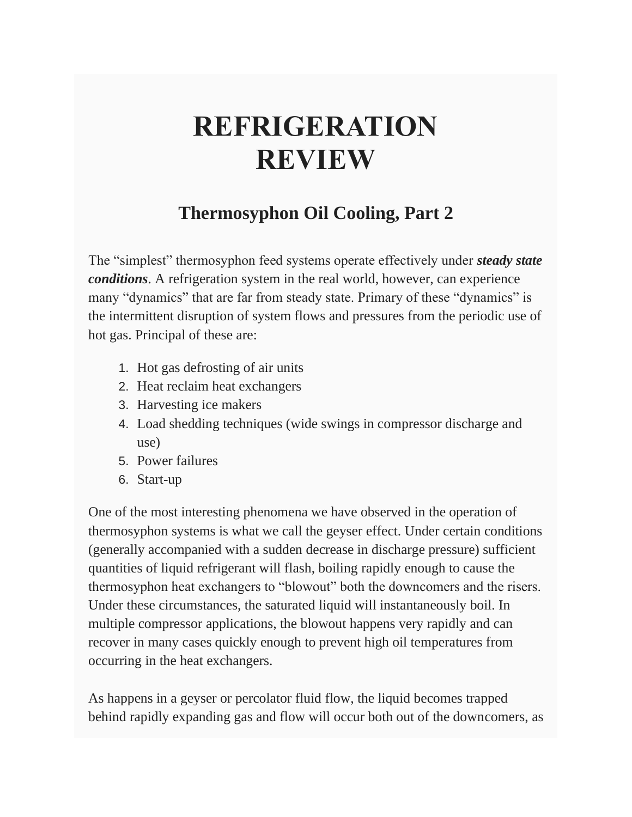## **REFRIGERATION REVIEW**

## **Thermosyphon Oil Cooling, Part 2**

The "simplest" thermosyphon feed systems operate effectively under *steady state conditions*. A refrigeration system in the real world, however, can experience many "dynamics" that are far from steady state. Primary of these "dynamics" is the intermittent disruption of system flows and pressures from the periodic use of hot gas. Principal of these are:

- 1. Hot gas defrosting of air units
- 2. Heat reclaim heat exchangers
- 3. Harvesting ice makers
- 4. Load shedding techniques (wide swings in compressor discharge and use)
- 5. Power failures
- 6. Start-up

One of the most interesting phenomena we have observed in the operation of thermosyphon systems is what we call the geyser effect. Under certain conditions (generally accompanied with a sudden decrease in discharge pressure) sufficient quantities of liquid refrigerant will flash, boiling rapidly enough to cause the thermosyphon heat exchangers to "blowout" both the downcomers and the risers. Under these circumstances, the saturated liquid will instantaneously boil. In multiple compressor applications, the blowout happens very rapidly and can recover in many cases quickly enough to prevent high oil temperatures from occurring in the heat exchangers.

As happens in a geyser or percolator fluid flow, the liquid becomes trapped behind rapidly expanding gas and flow will occur both out of the downcomers, as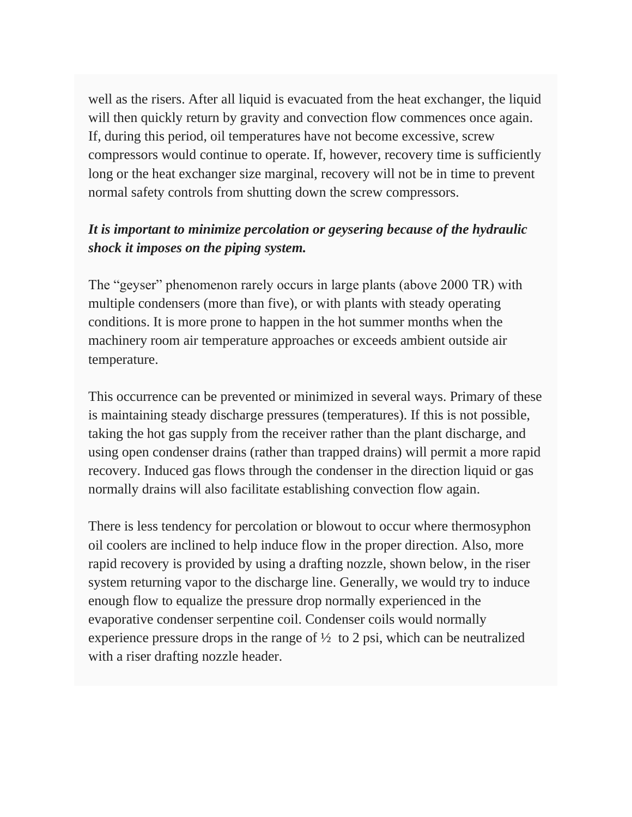well as the risers. After all liquid is evacuated from the heat exchanger, the liquid will then quickly return by gravity and convection flow commences once again. If, during this period, oil temperatures have not become excessive, screw compressors would continue to operate. If, however, recovery time is sufficiently long or the heat exchanger size marginal, recovery will not be in time to prevent normal safety controls from shutting down the screw compressors.

## *It is important to minimize percolation or geysering because of the hydraulic shock it imposes on the piping system.*

The "geyser" phenomenon rarely occurs in large plants (above 2000 TR) with multiple condensers (more than five), or with plants with steady operating conditions. It is more prone to happen in the hot summer months when the machinery room air temperature approaches or exceeds ambient outside air temperature.

This occurrence can be prevented or minimized in several ways. Primary of these is maintaining steady discharge pressures (temperatures). If this is not possible, taking the hot gas supply from the receiver rather than the plant discharge, and using open condenser drains (rather than trapped drains) will permit a more rapid recovery. Induced gas flows through the condenser in the direction liquid or gas normally drains will also facilitate establishing convection flow again.

There is less tendency for percolation or blowout to occur where thermosyphon oil coolers are inclined to help induce flow in the proper direction. Also, more rapid recovery is provided by using a drafting nozzle, shown below, in the riser system returning vapor to the discharge line. Generally, we would try to induce enough flow to equalize the pressure drop normally experienced in the evaporative condenser serpentine coil. Condenser coils would normally experience pressure drops in the range of  $\frac{1}{2}$  to 2 psi, which can be neutralized with a riser drafting nozzle header.